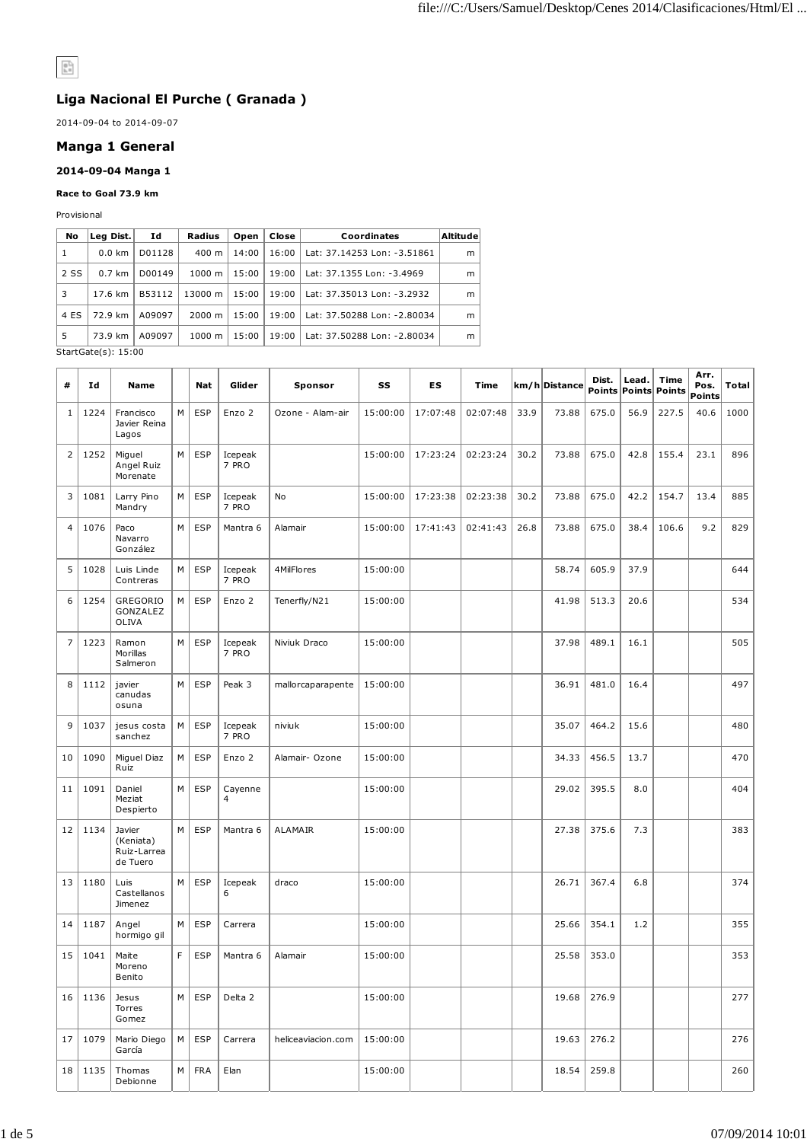# $\begin{array}{|c|} \hline 0 \\ \hline h = \end{array}$

## **Liga Nacional El Purche ( Granada )**

2014-09-04 to 2014-09-07

## **Manga 1 General**

## **2014-09-04 Manga 1**

#### **Race to Goal 73.9 km**

Provisional

| No   | Leg Dist.         | Ιd     | Radius             | Open  | Close | Coordinates                 | Altitude |
|------|-------------------|--------|--------------------|-------|-------|-----------------------------|----------|
| 1    | $0.0 \text{ km}$  | D01128 | $400 \; \text{m}$  | 14:00 | 16:00 | Lat: 37.14253 Lon: -3.51861 | m        |
| 2 SS | $0.7 \text{ km}$  | D00149 | $1000 \; \text{m}$ | 15:00 | 19:00 | Lat: 37.1355 Lon: -3.4969   | m        |
| 3    | $17.6 \text{ km}$ | B53112 | 13000 m            | 15:00 | 19:00 | Lat: 37.35013 Lon: -3.2932  | m        |
| 4 ES | 72.9 km           | A09097 | $2000 \; \text{m}$ | 15:00 | 19:00 | Lat: 37.50288 Lon: -2.80034 | m        |
| 5    | 73.9 km           | A09097 | $1000 \; \text{m}$ | 15:00 | 19:00 | Lat: 37.50288 Lon: -2.80034 | m        |

StartGate(s): 15:00

| #              | Ιd   | <b>Name</b>                                    |   | Nat        | Glider           | Sponsor            | SS       | ES       | Time     |      | km/h Distance | Dist. | Lead.<br>Points Points | Time<br>Points | Arr.<br>Pos.<br>Points | Total |
|----------------|------|------------------------------------------------|---|------------|------------------|--------------------|----------|----------|----------|------|---------------|-------|------------------------|----------------|------------------------|-------|
| 1              | 1224 | Francisco<br>Javier Reina<br>Lagos             | M | <b>ESP</b> | Enzo 2           | Ozone - Alam-air   | 15:00:00 | 17:07:48 | 02:07:48 | 33.9 | 73.88         | 675.0 | 56.9                   | 227.5          | 40.6                   | 1000  |
| $\overline{2}$ | 1252 | Miguel<br>Angel Ruiz<br>Morenate               | M | <b>ESP</b> | Icepeak<br>7 PRO |                    | 15:00:00 | 17:23:24 | 02:23:24 | 30.2 | 73.88         | 675.0 | 42.8                   | 155.4          | 23.1                   | 896   |
| 3              | 1081 | Larry Pino<br>Mandry                           | М | <b>ESP</b> | Icepeak<br>7 PRO | No                 | 15:00:00 | 17:23:38 | 02:23:38 | 30.2 | 73.88         | 675.0 | 42.2                   | 154.7          | 13.4                   | 885   |
| 4              | 1076 | Paco<br>Navarro<br>González                    | M | <b>ESP</b> | Mantra 6         | Alamair            | 15:00:00 | 17:41:43 | 02:41:43 | 26.8 | 73.88         | 675.0 | 38.4                   | 106.6          | 9.2                    | 829   |
| 5              | 1028 | Luis Linde<br>Contreras                        | M | <b>ESP</b> | Icepeak<br>7 PRO | 4MilFlores         | 15:00:00 |          |          |      | 58.74         | 605.9 | 37.9                   |                |                        | 644   |
| 6              | 1254 | GREGORIO<br>GONZALEZ<br>OLIVA                  | M | <b>ESP</b> | Enzo 2           | Tenerfly/N21       | 15:00:00 |          |          |      | 41.98         | 513.3 | 20.6                   |                |                        | 534   |
| $\overline{7}$ | 1223 | Ramon<br>Morillas<br>Salmeron                  | M | <b>ESP</b> | Icepeak<br>7 PRO | Niviuk Draco       | 15:00:00 |          |          |      | 37.98         | 489.1 | 16.1                   |                |                        | 505   |
| 8              | 1112 | javier<br>canudas<br>osuna                     | M | <b>ESP</b> | Peak 3           | mallorcaparapente  | 15:00:00 |          |          |      | 36.91         | 481.0 | 16.4                   |                |                        | 497   |
| 9              | 1037 | jesus costa<br>sanchez                         | М | <b>ESP</b> | Icepeak<br>7 PRO | niviuk             | 15:00:00 |          |          |      | 35.07         | 464.2 | 15.6                   |                |                        | 480   |
| 10             | 1090 | Miguel Diaz<br>Ruiz                            | M | <b>ESP</b> | Enzo 2           | Alamair- Ozone     | 15:00:00 |          |          |      | 34.33         | 456.5 | 13.7                   |                |                        | 470   |
| 11             | 1091 | Daniel<br>Meziat<br>Despierto                  | M | <b>ESP</b> | Cayenne<br>4     |                    | 15:00:00 |          |          |      | 29.02         | 395.5 | 8.0                    |                |                        | 404   |
| 12             | 1134 | Javier<br>(Keniata)<br>Ruiz-Larrea<br>de Tuero | M | <b>ESP</b> | Mantra 6         | ALAMAIR            | 15:00:00 |          |          |      | 27.38         | 375.6 | 7.3                    |                |                        | 383   |
| 13             | 1180 | Luis<br>Castellanos<br>Jimenez                 | М | <b>ESP</b> | Icepeak<br>6     | draco              | 15:00:00 |          |          |      | 26.71         | 367.4 | 6.8                    |                |                        | 374   |
| 14             | 1187 | Angel<br>hormigo gil                           | М | <b>ESP</b> | Carrera          |                    | 15:00:00 |          |          |      | 25.66         | 354.1 | 1.2                    |                |                        | 355   |
| 15             | 1041 | Maite<br>Moreno<br>Benito                      | F | <b>ESP</b> | Mantra 6         | Alamair            | 15:00:00 |          |          |      | 25.58         | 353.0 |                        |                |                        | 353   |
| 16             | 1136 | Jesus<br>Torres<br>Gomez                       | M | <b>ESP</b> | Delta 2          |                    | 15:00:00 |          |          |      | 19.68         | 276.9 |                        |                |                        | 277   |
| 17             | 1079 | Mario Diego<br>García                          | M | <b>ESP</b> | Carrera          | heliceaviacion.com | 15:00:00 |          |          |      | 19.63         | 276.2 |                        |                |                        | 276   |
| 18             | 1135 | Thomas<br>Debionne                             | М | <b>FRA</b> | Elan             |                    | 15:00:00 |          |          |      | 18.54         | 259.8 |                        |                |                        | 260   |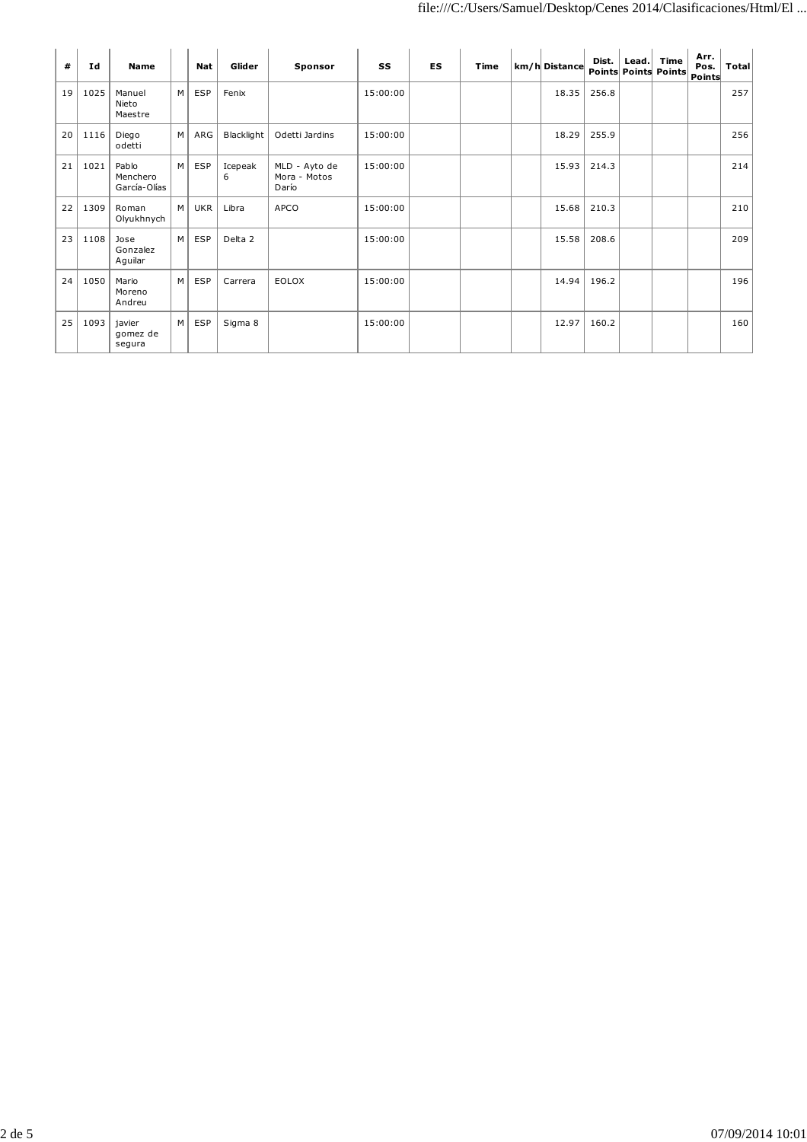| #  | Id   | <b>Name</b>                       |   | <b>Nat</b> | Glider       | Sponsor                                | SS       | <b>ES</b> | Time | km/h Distance | Dist. | $\sf {lead}.$ | Time<br>Points Points Points | Arr.<br>Pos.<br>Points | Total |
|----|------|-----------------------------------|---|------------|--------------|----------------------------------------|----------|-----------|------|---------------|-------|---------------|------------------------------|------------------------|-------|
| 19 | 1025 | Manuel<br>Nieto<br>Maestre        | M | <b>ESP</b> | Fenix        |                                        | 15:00:00 |           |      | 18.35         | 256.8 |               |                              |                        | 257   |
| 20 | 1116 | Diego<br>odetti                   | M | ARG        | Blacklight   | Odetti Jardins                         | 15:00:00 |           |      | 18.29         | 255.9 |               |                              |                        | 256   |
| 21 | 1021 | Pablo<br>Menchero<br>García-Olías | M | <b>ESP</b> | Icepeak<br>6 | MLD - Ayto de<br>Mora - Motos<br>Darío | 15:00:00 |           |      | 15.93         | 214.3 |               |                              |                        | 214   |
| 22 | 1309 | Roman<br>Olyukhnych               | M | <b>UKR</b> | Libra        | APCO                                   | 15:00:00 |           |      | 15.68         | 210.3 |               |                              |                        | 210   |
| 23 | 1108 | Jose<br>Gonzalez<br>Aguilar       | M | <b>ESP</b> | Delta 2      |                                        | 15:00:00 |           |      | 15.58         | 208.6 |               |                              |                        | 209   |
| 24 | 1050 | Mario<br>Moreno<br>Andreu         | M | <b>ESP</b> | Carrera      | EOLOX                                  | 15:00:00 |           |      | 14.94         | 196.2 |               |                              |                        | 196   |
| 25 | 1093 | javier<br>gomez de<br>segura      | M | <b>ESP</b> | Sigma 8      |                                        | 15:00:00 |           |      | 12.97         | 160.2 |               |                              |                        | 160   |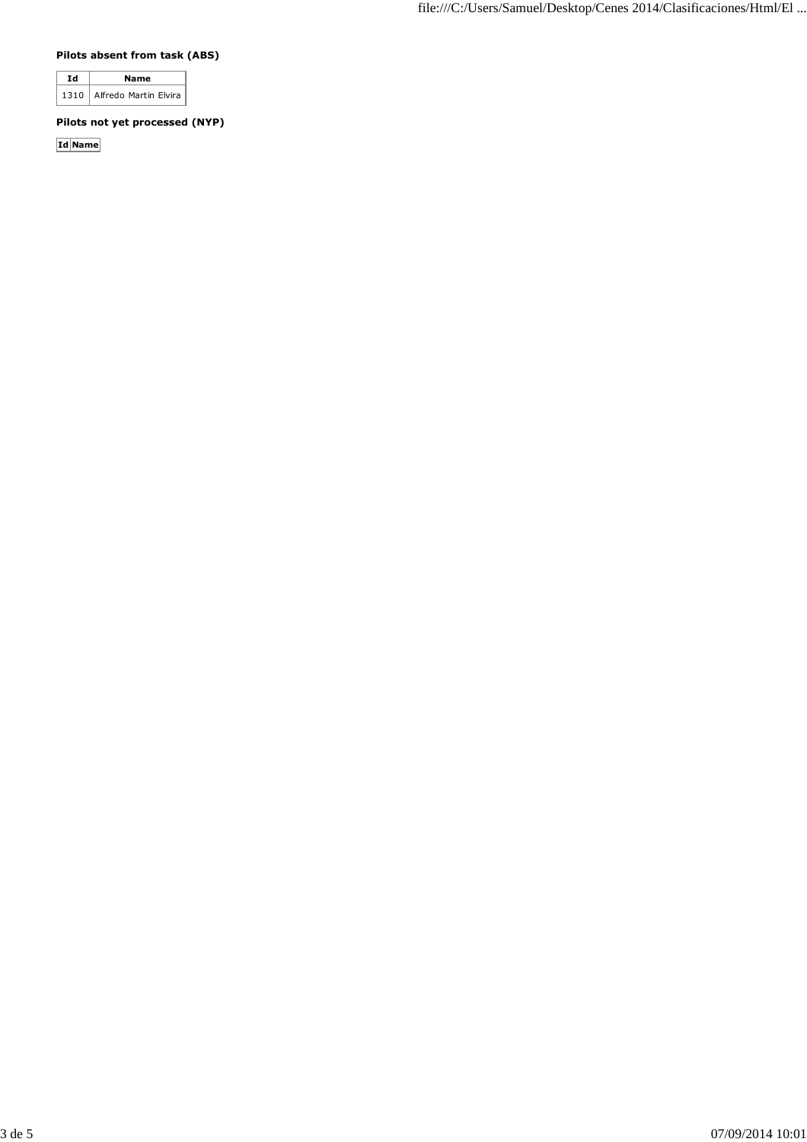## **Pilots absent from task (ABS)**

| a.   | Name                  |
|------|-----------------------|
| 1310 | Alfredo Martin Elvira |

## **Pilots not yet processed (NYP)**

**Id Name**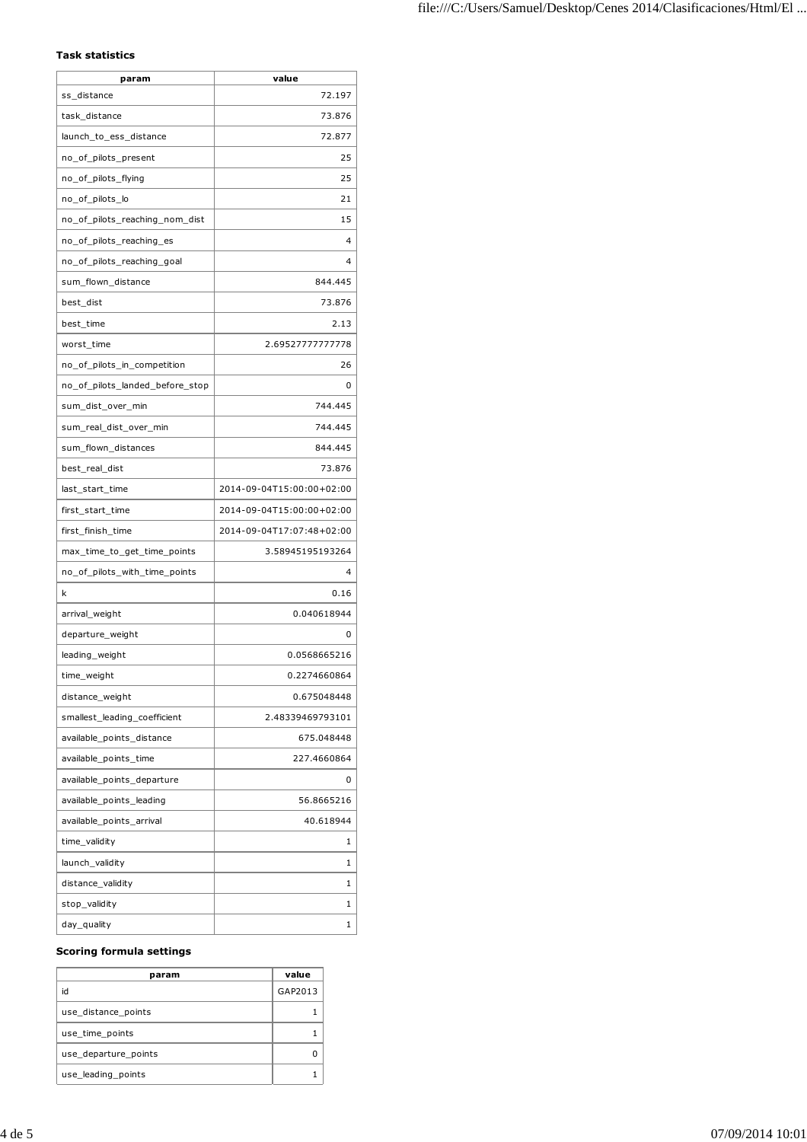## **Task statistics**

| param                           | value                     |
|---------------------------------|---------------------------|
| ss_distance                     | 72.197                    |
| task_distance                   | 73.876                    |
| launch_to_ess_distance          | 72.877                    |
| no_of_pilots_present            | 25                        |
| no_of_pilots_flying             | 25                        |
| no_of_pilots_lo                 | 21                        |
| no_of_pilots_reaching_nom_dist  | 15                        |
| no_of_pilots_reaching_es        | 4                         |
| no_of_pilots_reaching_goal      | 4                         |
| sum_flown_distance              | 844.445                   |
| best_dist                       | 73.876                    |
| best_time                       | 2.13                      |
| worst_time                      | 2.69527777777778          |
| no_of_pilots_in_competition     | 26                        |
| no_of_pilots_landed_before_stop | 0                         |
| sum_dist_over_min               | 744.445                   |
| sum_real_dist_over_min          | 744.445                   |
| sum_flown_distances             | 844.445                   |
| best_real_dist                  | 73.876                    |
| last_start_time                 | 2014-09-04T15:00:00+02:00 |
| first_start_time                | 2014-09-04T15:00:00+02:00 |
| first_finish_time               | 2014-09-04T17:07:48+02:00 |
| max_time_to_get_time_points     | 3.58945195193264          |
| no_of_pilots_with_time_points   | 4                         |
| k                               | 0.16                      |
| arrival_weight                  | 0.040618944               |
| departure_weight                | 0                         |
| leading_weight                  | 0.0568665216              |
| time_weight                     | 0.2274660864              |
| distance_weight                 | 0.675048448               |
| smallest_leading_coefficient    | 2.48339469793101          |
| available points distance       | 675.048448                |
| available_points_time           | 227.4660864               |
| available_points_departure      | 0                         |
| available_points_leading        | 56.8665216                |
| available points arrival        | 40.618944                 |
| time_validity                   | 1                         |
| launch_validity                 | 1                         |
| distance_validity               | 1                         |
| stop_validity                   | 1                         |
| day_quality                     | 1                         |

#### **Scoring formula settings**

| param                | value   |
|----------------------|---------|
| id                   | GAP2013 |
| use distance points  |         |
| use time points      |         |
| use_departure_points |         |
| use leading points   |         |